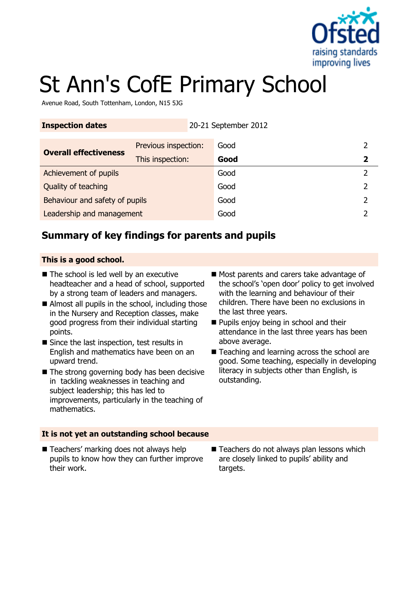

# St Ann's CofE Primary School

Avenue Road, South Tottenham, London, N15 5JG

| <b>Inspection dates</b>        |                      | 20-21 September 2012 |  |
|--------------------------------|----------------------|----------------------|--|
| <b>Overall effectiveness</b>   | Previous inspection: | Good                 |  |
|                                | This inspection:     | Good                 |  |
| Achievement of pupils          |                      | Good                 |  |
| Quality of teaching            |                      | Good                 |  |
| Behaviour and safety of pupils |                      | Good                 |  |
| Leadership and management      |                      | Good                 |  |

# **Summary of key findings for parents and pupils**

#### **This is a good school.**

- The school is led well by an executive headteacher and a head of school, supported by a strong team of leaders and managers.
- Almost all pupils in the school, including those in the Nursery and Reception classes, make good progress from their individual starting points.
- Since the last inspection, test results in English and mathematics have been on an upward trend.
- $\blacksquare$  The strong governing body has been decisive in tackling weaknesses in teaching and subject leadership; this has led to improvements, particularly in the teaching of mathematics.
- Most parents and carers take advantage of the school's 'open door' policy to get involved with the learning and behaviour of their children. There have been no exclusions in the last three years.
- **Pupils enjoy being in school and their** attendance in the last three years has been above average.
- Teaching and learning across the school are good. Some teaching, especially in developing literacy in subjects other than English, is outstanding.

#### **It is not yet an outstanding school because**

- Teachers' marking does not always help pupils to know how they can further improve their work.
- Teachers do not always plan lessons which are closely linked to pupils' ability and targets.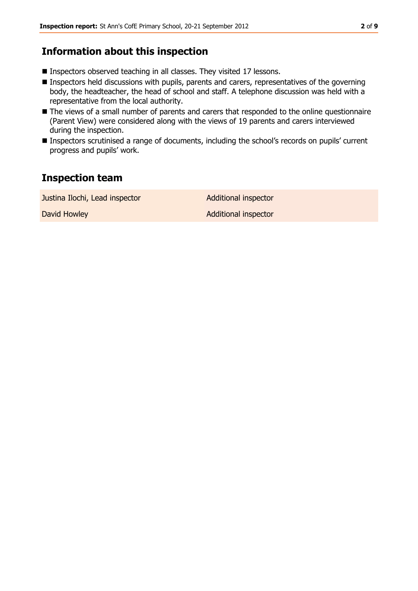#### **Information about this inspection**

- Inspectors observed teaching in all classes. They visited 17 lessons.
- **Inspectors held discussions with pupils, parents and carers, representatives of the governing** body, the headteacher, the head of school and staff. A telephone discussion was held with a representative from the local authority.
- The views of a small number of parents and carers that responded to the online questionnaire (Parent View) were considered along with the views of 19 parents and carers interviewed during the inspection.
- Inspectors scrutinised a range of documents, including the school's records on pupils' current progress and pupils' work.

### **Inspection team**

Justina Ilochi, Lead inspector **Additional inspector** David Howley **Additional inspector** Additional inspector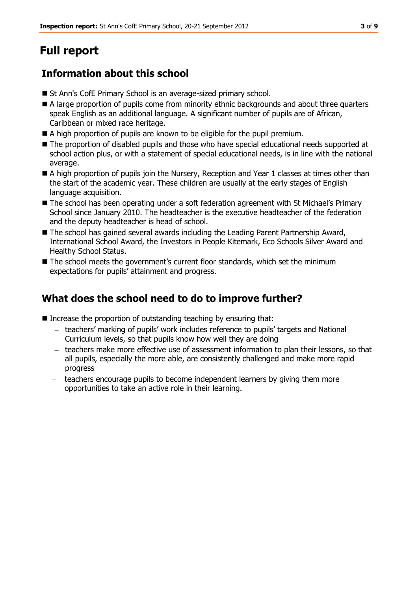# **Full report**

# **Information about this school**

- St Ann's CofE Primary School is an average-sized primary school.
- A large proportion of pupils come from minority ethnic backgrounds and about three quarters speak English as an additional language. A significant number of pupils are of African, Caribbean or mixed race heritage.
- A high proportion of pupils are known to be eligible for the pupil premium.
- $\blacksquare$  The proportion of disabled pupils and those who have special educational needs supported at school action plus, or with a statement of special educational needs, is in line with the national average.
- A high proportion of pupils join the Nursery, Reception and Year 1 classes at times other than the start of the academic year. These children are usually at the early stages of English language acquisition.
- The school has been operating under a soft federation agreement with St Michael's Primary School since January 2010. The headteacher is the executive headteacher of the federation and the deputy headteacher is head of school.
- The school has gained several awards including the Leading Parent Partnership Award, International School Award, the Investors in People Kitemark, Eco Schools Silver Award and Healthy School Status.
- The school meets the government's current floor standards, which set the minimum expectations for pupils' attainment and progress.

# **What does the school need to do to improve further?**

- $\blacksquare$  Increase the proportion of outstanding teaching by ensuring that:
	- teachers' marking of pupils' work includes reference to pupils' targets and National Curriculum levels, so that pupils know how well they are doing
	- teachers make more effective use of assessment information to plan their lessons, so that all pupils, especially the more able, are consistently challenged and make more rapid progress
	- $\equiv$  . teachers encourage pupils to become independent learners by giving them more opportunities to take an active role in their learning.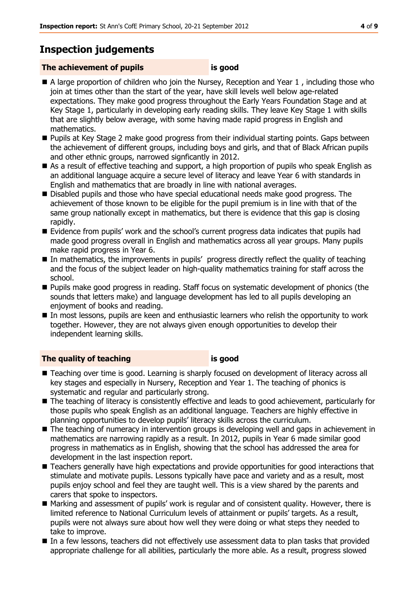## **Inspection judgements**

#### **The achievement of pupils is good**

- A large proportion of children who join the Nursey, Reception and Year 1, including those who join at times other than the start of the year, have skill levels well below age-related expectations. They make good progress throughout the Early Years Foundation Stage and at Key Stage 1, particularly in developing early reading skills. They leave Key Stage 1 with skills that are slightly below average, with some having made rapid progress in English and mathematics.
- **Pupils at Key Stage 2 make good progress from their individual starting points. Gaps between** the achievement of different groups, including boys and girls, and that of Black African pupils and other ethnic groups, narrowed signficantly in 2012.
- As a result of effective teaching and support, a high proportion of pupils who speak English as an additional language acquire a secure level of literacy and leave Year 6 with standards in English and mathematics that are broadly in line with national averages.
- Disabled pupils and those who have special educational needs make good progress. The achievement of those known to be eligible for the pupil premium is in line with that of the same group nationally except in mathematics, but there is evidence that this gap is closing rapidly.
- Evidence from pupils' work and the school's current progress data indicates that pupils had made good progress overall in English and mathematics across all year groups. Many pupils make rapid progress in Year 6.
- In mathematics, the improvements in pupils' progress directly reflect the quality of teaching and the focus of the subject leader on high-quality mathematics training for staff across the school.
- Pupils make good progress in reading. Staff focus on systematic development of phonics (the sounds that letters make) and language development has led to all pupils developing an enjoyment of books and reading.
- In most lessons, pupils are keen and enthusiastic learners who relish the opportunity to work together. However, they are not always given enough opportunities to develop their independent learning skills.

#### **The quality of teaching is good**

- Teaching over time is good. Learning is sharply focused on development of literacy across all key stages and especially in Nursery, Reception and Year 1. The teaching of phonics is systematic and regular and particularly strong.
- The teaching of literacy is consistently effective and leads to good achievement, particularly for those pupils who speak English as an additional language. Teachers are highly effective in planning opportunities to develop pupils' literacy skills across the curriculum.
- The teaching of numeracy in intervention groups is developing well and gaps in achievement in mathematics are narrowing rapidly as a result. In 2012, pupils in Year 6 made similar good progress in mathematics as in English, showing that the school has addressed the area for development in the last inspection report.
- **Teachers generally have high expectations and provide opportunities for good interactions that** stimulate and motivate pupils. Lessons typically have pace and variety and as a result, most pupils enjoy school and feel they are taught well. This is a view shared by the parents and carers that spoke to inspectors.
- Marking and assessment of pupils' work is regular and of consistent quality. However, there is limited reference to National Curriculum levels of attainment or pupils' targets. As a result, pupils were not always sure about how well they were doing or what steps they needed to take to improve.
- In a few lessons, teachers did not effectively use assessment data to plan tasks that provided appropriate challenge for all abilities, particularly the more able. As a result, progress slowed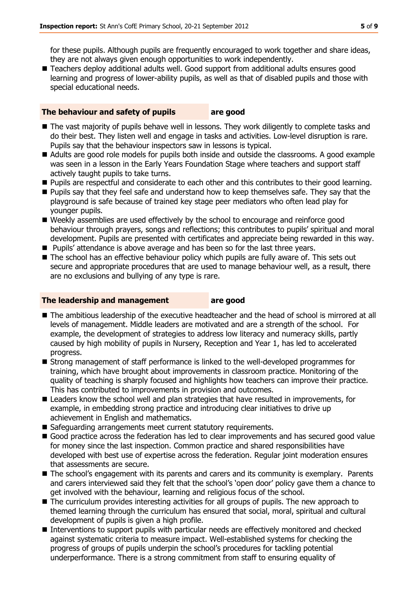for these pupils. Although pupils are frequently encouraged to work together and share ideas, they are not always given enough opportunities to work independently.

■ Teachers deploy additional adults well. Good support from additional adults ensures good learning and progress of lower-ability pupils, as well as that of disabled pupils and those with special educational needs.

#### **The behaviour and safety of pupils are good**

- The vast majority of pupils behave well in lessons. They work diligently to complete tasks and do their best. They listen well and engage in tasks and activities. Low-level disruption is rare. Pupils say that the behaviour inspectors saw in lessons is typical.
- Adults are good role models for pupils both inside and outside the classrooms. A good example was seen in a lesson in the Early Years Foundation Stage where teachers and support staff actively taught pupils to take turns.
- Pupils are respectful and considerate to each other and this contributes to their good learning.
- **Pupils say that they feel safe and understand how to keep themselves safe. They say that the** playground is safe because of trained key stage peer mediators who often lead play for younger pupils.
- Weekly assemblies are used effectively by the school to encourage and reinforce good behaviour through prayers, songs and reflections; this contributes to pupils' spiritual and moral development. Pupils are presented with certificates and appreciate being rewarded in this way.
- **Pupils'** attendance is above average and has been so for the last three years.
- The school has an effective behaviour policy which pupils are fully aware of. This sets out secure and appropriate procedures that are used to manage behaviour well, as a result, there are no exclusions and bullying of any type is rare.

#### **The leadership and management are good**

- The ambitious leadership of the executive headteacher and the head of school is mirrored at all levels of management. Middle leaders are motivated and are a strength of the school. For example, the development of strategies to address low literacy and numeracy skills, partly caused by high mobility of pupils in Nursery, Reception and Year 1, has led to accelerated progress.
- Strong management of staff performance is linked to the well-developed programmes for training, which have brought about improvements in classroom practice. Monitoring of the quality of teaching is sharply focused and highlights how teachers can improve their practice. This has contributed to improvements in provision and outcomes.
- Leaders know the school well and plan strategies that have resulted in improvements, for example, in embedding strong practice and introducing clear initiatives to drive up achievement in English and mathematics.
- Safeguarding arrangements meet current statutory requirements.
- Good practice across the federation has led to clear improvements and has secured good value for money since the last inspection. Common practice and shared responsibilities have developed with best use of expertise across the federation. Regular joint moderation ensures that assessments are secure.
- $\blacksquare$  The school's engagement with its parents and carers and its community is exemplary. Parents and carers interviewed said they felt that the school's 'open door' policy gave them a chance to get involved with the behaviour, learning and religious focus of the school.
- The curriculum provides interesting activities for all groups of pupils. The new approach to themed learning through the curriculum has ensured that social, moral, spiritual and cultural development of pupils is given a high profile.
- Interventions to support pupils with particular needs are effectively monitored and checked against systematic criteria to measure impact. Well-established systems for checking the progress of groups of pupils underpin the school's procedures for tackling potential underperformance. There is a strong commitment from staff to ensuring equality of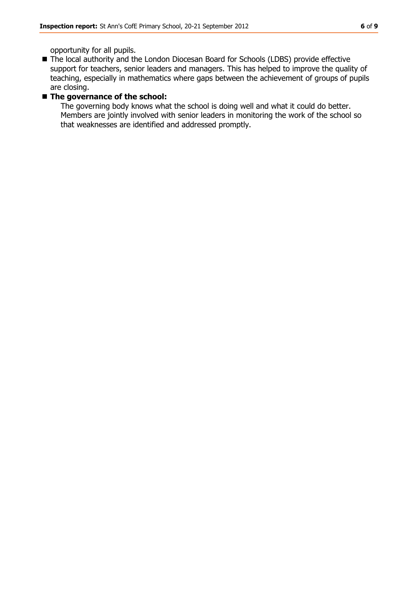opportunity for all pupils.

■ The local authority and the London Diocesan Board for Schools (LDBS) provide effective support for teachers, senior leaders and managers. This has helped to improve the quality of teaching, especially in mathematics where gaps between the achievement of groups of pupils are closing.

#### ■ The governance of the school:

The governing body knows what the school is doing well and what it could do better. Members are jointly involved with senior leaders in monitoring the work of the school so that weaknesses are identified and addressed promptly.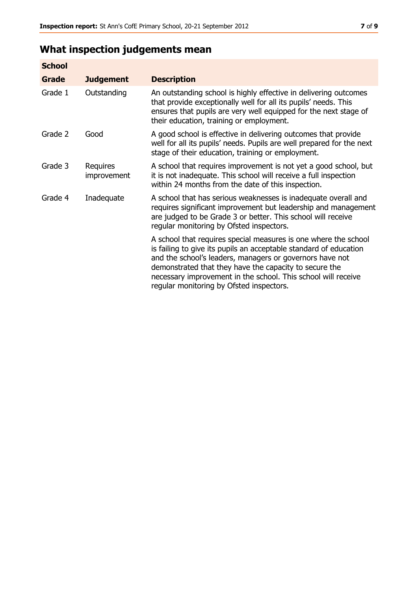# **What inspection judgements mean**

| <b>School</b> |                         |                                                                                                                                                                                                                                                                                                                                                                         |
|---------------|-------------------------|-------------------------------------------------------------------------------------------------------------------------------------------------------------------------------------------------------------------------------------------------------------------------------------------------------------------------------------------------------------------------|
| <b>Grade</b>  | <b>Judgement</b>        | <b>Description</b>                                                                                                                                                                                                                                                                                                                                                      |
| Grade 1       | Outstanding             | An outstanding school is highly effective in delivering outcomes<br>that provide exceptionally well for all its pupils' needs. This<br>ensures that pupils are very well equipped for the next stage of<br>their education, training or employment.                                                                                                                     |
| Grade 2       | Good                    | A good school is effective in delivering outcomes that provide<br>well for all its pupils' needs. Pupils are well prepared for the next<br>stage of their education, training or employment.                                                                                                                                                                            |
| Grade 3       | Requires<br>improvement | A school that requires improvement is not yet a good school, but<br>it is not inadequate. This school will receive a full inspection<br>within 24 months from the date of this inspection.                                                                                                                                                                              |
| Grade 4       | Inadequate              | A school that has serious weaknesses is inadequate overall and<br>requires significant improvement but leadership and management<br>are judged to be Grade 3 or better. This school will receive<br>regular monitoring by Ofsted inspectors.                                                                                                                            |
|               |                         | A school that requires special measures is one where the school<br>is failing to give its pupils an acceptable standard of education<br>and the school's leaders, managers or governors have not<br>demonstrated that they have the capacity to secure the<br>necessary improvement in the school. This school will receive<br>regular monitoring by Ofsted inspectors. |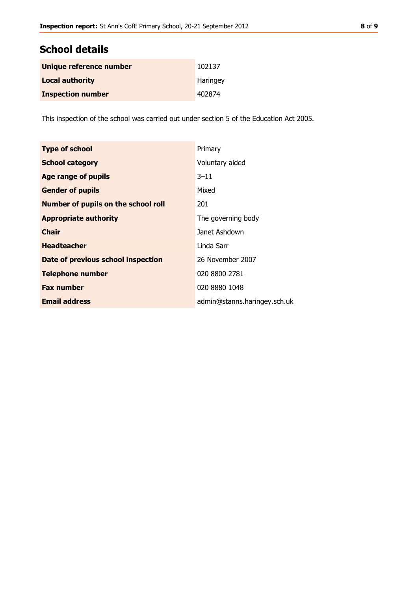# **School details**

| Unique reference number  | 102137   |
|--------------------------|----------|
| <b>Local authority</b>   | Haringey |
| <b>Inspection number</b> | 402874   |

This inspection of the school was carried out under section 5 of the Education Act 2005.

| <b>Type of school</b>               | Primary                      |
|-------------------------------------|------------------------------|
| <b>School category</b>              | Voluntary aided              |
| <b>Age range of pupils</b>          | $3 - 11$                     |
| <b>Gender of pupils</b>             | Mixed                        |
| Number of pupils on the school roll | 201                          |
| <b>Appropriate authority</b>        | The governing body           |
| <b>Chair</b>                        | Janet Ashdown                |
| <b>Headteacher</b>                  | Linda Sarr                   |
| Date of previous school inspection  | 26 November 2007             |
| <b>Telephone number</b>             | 020 8800 2781                |
| <b>Fax number</b>                   | 020 8880 1048                |
| <b>Email address</b>                | admin@stanns.haringey.sch.uk |